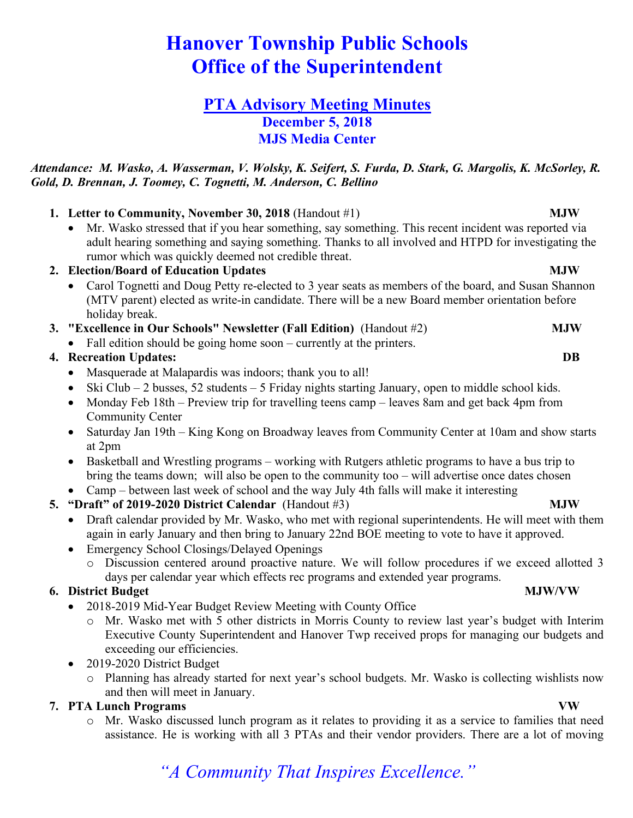# **Hanover Township Public Schools Office of the Superintendent**

### **PTA Advisory Meeting Minutes December 5, 2018 MJS Media Center**

### *Attendance: M. Wasko, A. Wasserman, V. Wolsky, K. Seifert, S. Furda, D. Stark, G. Margolis, K. McSorley, R. Gold, D. Brennan, J. Toomey, C. Tognetti, M. Anderson, C. Bellino*

### **1. Letter to Community, November 30, 2018** (Handout #1) **MJW**

• Mr. Wasko stressed that if you hear something, say something. This recent incident was reported via adult hearing something and saying something. Thanks to all involved and HTPD for investigating the rumor which was quickly deemed not credible threat.

### **2. Election/Board of Education Updates MJW**

- Carol Tognetti and Doug Petty re-elected to 3 year seats as members of the board, and Susan Shannon (MTV parent) elected as write-in candidate. There will be a new Board member orientation before holiday break.
- **3. "Excellence in Our Schools" Newsletter (Fall Edition)** (Handout #2) **MJW**
	- Fall edition should be going home soon currently at the printers.

### **4. Recreation Updates: DB**

- Masquerade at Malapardis was indoors; thank you to all!
- Ski Club 2 busses, 52 students 5 Friday nights starting January, open to middle school kids.
- Monday Feb 18th Preview trip for travelling teens camp leaves 8am and get back 4pm from Community Center
- Saturday Jan 19th King Kong on Broadway leaves from Community Center at 10am and show starts at 2pm
- Basketball and Wrestling programs working with Rutgers athletic programs to have a bus trip to bring the teams down; will also be open to the community too – will advertise once dates chosen
- Camp between last week of school and the way July 4th falls will make it interesting

### **5. "Draft" of 2019-2020 District Calendar** (Handout #3) **MJW**

- Draft calendar provided by Mr. Wasko, who met with regional superintendents. He will meet with them again in early January and then bring to January 22nd BOE meeting to vote to have it approved.
- Emergency School Closings/Delayed Openings
	- o Discussion centered around proactive nature. We will follow procedures if we exceed allotted 3 days per calendar year which effects rec programs and extended year programs.

### **6. District Budget MJW/VW**

- 2018-2019 Mid-Year Budget Review Meeting with County Office
	- o Mr. Wasko met with 5 other districts in Morris County to review last year's budget with Interim Executive County Superintendent and Hanover Twp received props for managing our budgets and exceeding our efficiencies.
- 2019-2020 District Budget
	- o Planning has already started for next year's school budgets. Mr. Wasko is collecting wishlists now and then will meet in January.

### **7. PTA Lunch Programs VW**

o Mr. Wasko discussed lunch program as it relates to providing it as a service to families that need assistance. He is working with all 3 PTAs and their vendor providers. There are a lot of moving

## *"A Community That Inspires Excellence."*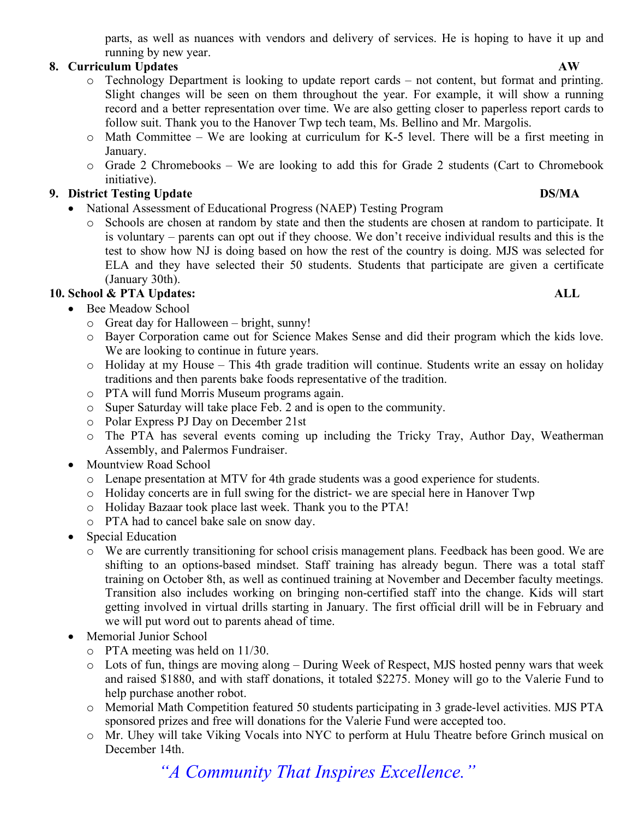parts, as well as nuances with vendors and delivery of services. He is hoping to have it up and running by new year.

### **8. Curriculum Updates AW**

- o Technology Department is looking to update report cards not content, but format and printing. Slight changes will be seen on them throughout the year. For example, it will show a running record and a better representation over time. We are also getting closer to paperless report cards to follow suit. Thank you to the Hanover Twp tech team, Ms. Bellino and Mr. Margolis.
- o Math Committee We are looking at curriculum for K-5 level. There will be a first meeting in January.
- o Grade 2 Chromebooks We are looking to add this for Grade 2 students (Cart to Chromebook initiative).

### **9. District Testing Update DS/MA**

- National Assessment of Educational Progress (NAEP) Testing Program
	- o Schools are chosen at random by state and then the students are chosen at random to participate. It is voluntary – parents can opt out if they choose. We don't receive individual results and this is the test to show how NJ is doing based on how the rest of the country is doing. MJS was selected for ELA and they have selected their 50 students. Students that participate are given a certificate (January 30th).

### **10. School & PTA Updates: ALL**

- Bee Meadow School
	- o Great day for Halloween bright, sunny!
	- o Bayer Corporation came out for Science Makes Sense and did their program which the kids love. We are looking to continue in future years.
	- o Holiday at my House This 4th grade tradition will continue. Students write an essay on holiday traditions and then parents bake foods representative of the tradition.
	- o PTA will fund Morris Museum programs again.
	- o Super Saturday will take place Feb. 2 and is open to the community.
	- o Polar Express PJ Day on December 21st
	- o The PTA has several events coming up including the Tricky Tray, Author Day, Weatherman Assembly, and Palermos Fundraiser.
- Mountview Road School
	- o Lenape presentation at MTV for 4th grade students was a good experience for students.
	- o Holiday concerts are in full swing for the district- we are special here in Hanover Twp
	- o Holiday Bazaar took place last week. Thank you to the PTA!
	- o PTA had to cancel bake sale on snow day.
- Special Education
	- o We are currently transitioning for school crisis management plans. Feedback has been good. We are shifting to an options-based mindset. Staff training has already begun. There was a total staff training on October 8th, as well as continued training at November and December faculty meetings. Transition also includes working on bringing non-certified staff into the change. Kids will start getting involved in virtual drills starting in January. The first official drill will be in February and we will put word out to parents ahead of time.
- Memorial Junior School
	- o PTA meeting was held on 11/30.
	- o Lots of fun, things are moving along During Week of Respect, MJS hosted penny wars that week and raised \$1880, and with staff donations, it totaled \$2275. Money will go to the Valerie Fund to help purchase another robot.
	- o Memorial Math Competition featured 50 students participating in 3 grade-level activities. MJS PTA sponsored prizes and free will donations for the Valerie Fund were accepted too.
	- o Mr. Uhey will take Viking Vocals into NYC to perform at Hulu Theatre before Grinch musical on December 14th.

*"A Community That Inspires Excellence."*